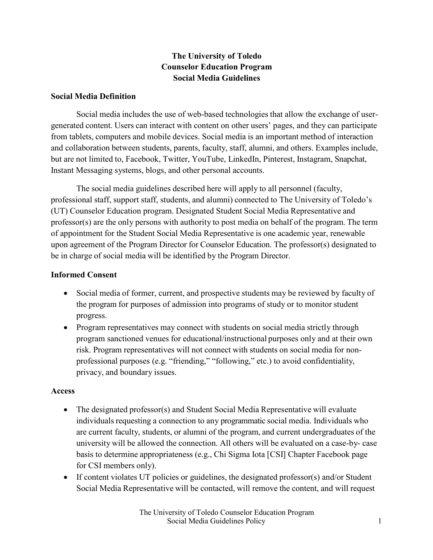## **The University of Toledo Counselor Education Program Social Media Guidelines**

### **Social Media Definition**

Social media includes the use of web-based technologies that allow the exchange of usergenerated content. Users can interact with content on other users' pages, and they can participate from tablets, computers and mobile devices. Social media is an important method of interaction and collaboration between students, parents, faculty, staff, alumni, and others. Examples include, but are not limited to, Facebook, Twitter, YouTube, LinkedIn, Pinterest, Instagram, Snapchat, Instant Messaging systems, blogs, and other personal accounts.

The social media guidelines described here will apply to all personnel (faculty, professional staff, support staff, students, and alumni) connected to The University of Toledo's (UT) Counselor Education program. Designated Student Social Media Representative and professor(s) are the only persons with authority to post media on behalf of the program. The term of appointment for the Student Social Media Representative is one academic year, renewable upon agreement of the Program Director for Counselor Education. The professor(s) designated to be in charge of social media will be identified by the Program Director.

### **Informed Consent**

- Social media of former, current, and prospective students may be reviewed by faculty of the program for purposes of admission into programs of study or to monitor student progress.
- Program representatives may connect with students on social media strictly through program sanctioned venues for educational/instructional purposes only and at their own risk. Program representatives will not connect with students on social media for nonprofessional purposes (e.g. "friending," "following," etc.) to avoid confidentiality, privacy, and boundary issues.

#### **Access**

- The designated professor(s) and Student Social Media Representative will evaluate individuals requesting a connection to any programmatic social media. Individuals who are current faculty, students, or alumni of the program, and current undergraduates of the university will be allowed the connection. All others will be evaluated on a case-by- case basis to determine appropriateness (e.g., Chi Sigma Iota [CSI] Chapter Facebook page for CSI members only).
- If content violates UT policies or guidelines, the designated professor(s) and/or Student Social Media Representative will be contacted, will remove the content, and will request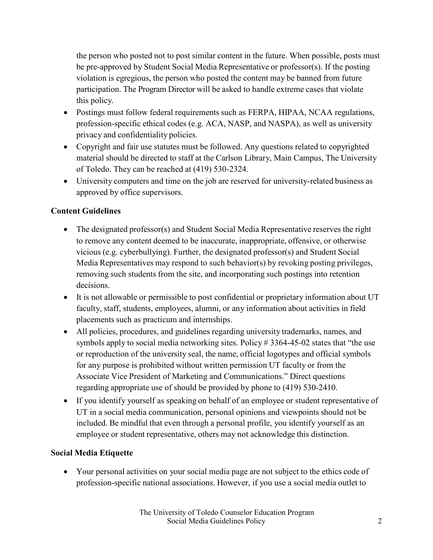the person who posted not to post similar content in the future. When possible, posts must be pre-approved by Student Social Media Representative or professor(s). If the posting violation is egregious, the person who posted the content may be banned from future participation. The Program Director will be asked to handle extreme cases that violate this policy.

- Postings must follow federal requirements such as FERPA, HIPAA, NCAA regulations, profession-specific ethical codes (e.g. ACA, NASP, and NASPA), as well as university privacy and confidentiality policies.
- Copyright and fair use statutes must be followed. Any questions related to copyrighted material should be directed to staff at the Carlson Library, Main Campus, The University of Toledo. They can be reached at (419) 530-2324.
- University computers and time on the job are reserved for university-related business as approved by office supervisors.

# **Content Guidelines**

- The designated professor(s) and Student Social Media Representative reserves the right to remove any content deemed to be inaccurate, inappropriate, offensive, or otherwise vicious (e.g. cyberbullying). Further, the designated professor(s) and Student Social Media Representatives may respond to such behavior(s) by revoking posting privileges, removing such students from the site, and incorporating such postings into retention decisions.
- It is not allowable or permissible to post confidential or proprietary information about UT faculty, staff, students, employees, alumni, or any information about activities in field placements such as practicum and internships.
- All policies, procedures, and guidelines regarding university trademarks, names, and symbols apply to social media networking sites. Policy # 3364-45-02 states that "the use or reproduction of the university seal, the name, official logotypes and official symbols for any purpose is prohibited without written permission UT faculty or from the Associate Vice President of Marketing and Communications." Direct questions regarding appropriate use of should be provided by phone to (419) 530-2410.
- If you identify yourself as speaking on behalf of an employee or student representative of UT in a social media communication, personal opinions and viewpoints should not be included. Be mindful that even through a personal profile, you identify yourself as an employee or student representative, others may not acknowledge this distinction.

## **Social Media Etiquette**

• Your personal activities on your social media page are not subject to the ethics code of profession-specific national associations. However, if you use a social media outlet to